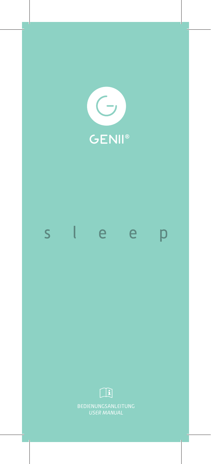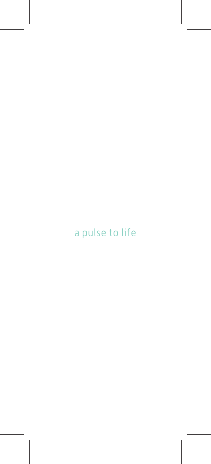# a pulse to life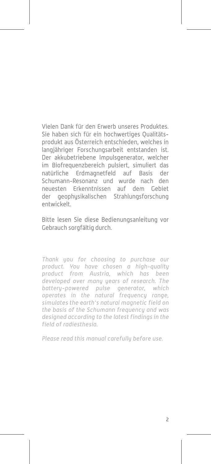Vielen Dank für den Erwerb unseres Produktes. Sie haben sich für ein hochwertiges Qualitätsprodukt aus Österreich entschieden, welches in langjähriger Forschungsarbeit entstanden ist. Der akkubetriebene Impulsgenerator, welcher im Biofrequenzbereich pulsiert, simuliert das natürliche Erdmagnetfeld auf Basis der Schumann-Resonanz und wurde nach den neuesten Erkenntnissen auf dem Gebiet der geophysikalischen Strahlungsforschung entwickelt.

Bitte lesen Sie diese Bedienungsanleitung vor Gebrauch sorgfältig durch.

Thank you for choosing to purchase our product. You have chosen a high-quality product from Austria, which has been developed over many years of research. The battery-powered pulse generator, which operates in the natural frequency range. simulates the earth's natural magnetic field on the basis of the Schumann frequency and was designed according to the latest findings in the field of radiesthesia.

Please read this manual carefully before use.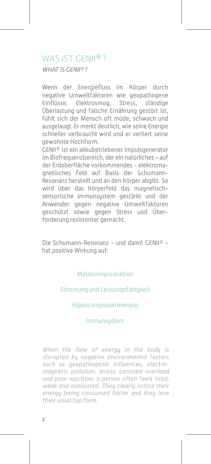### WAS IST GENII®?

WHAT IS GENII®?

Wenn der Energiefluss im Körper durch negative Umweltfaktoren wie geopathogene Einflüsse, Elektrosmog, Stress, ständige Überlastung und falsche Ernährung gestört ist, fühlt sich der Mensch oft müde, schwach und ausgelaugt. Er merkt deutlich, wie seine Energie schneller verbraucht wird und er verliert seine gewohnte Hochform.

GENII® ist ein akkubetriebener Impulsgenerator im Biofrequenzbereich, der ein natürliches – auf der Erdoberfläche vorkommendes - elektromagnetisches Feld auf Basis der Schumann-Resonanz herstellt und an den Körper abgibt. So wird über das Körperfeld das magnetischsensorische Immunsystem gestärkt und der Anwender gegen negative Umweltfaktoren geschützt sowie gegen Stress und Überforderung resistenter gemacht.

Die Schumann-Resonanz - und damit GENII® hat positive Wirkung auf:

#### Melatoninproduktion

#### Stimmung und Leistungsfähigkeit

#### Hippocampusaktivierung

#### Immunsystem

When the flow of energy in the body is disrupted by negative environmental factors such as geopathogenic influences, electromagnetic pollution, stress, constant overload and poor nutrition, a person often feels tired, weak and exhausted. They clearly notice their energy being consumed faster and they lose their usual top form.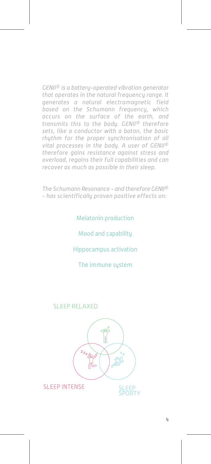GENII® is a battery-operated vibration generator that operates in the natural frequency range. It generates a natural electromagnetic field based on the Schumann frequency, which occurs on the surface of the earth, and transmits this to the body. GENII® therefore sets, like a conductor with a baton, the basic rhythm for the proper synchronisation of all vital processes in the body. A user of GENII® therefore gains resistance against stress and overload, regains their full capabilities and can recover as much as possible in their sleep.

The Schumann Resonance - and therefore GENII® - has scientifically proven positive effects on:

Melatonin production

Mood and capability

Hippocampus activation

The immune system

#### SLEEP RELAXED



#### SLEEP INTENSE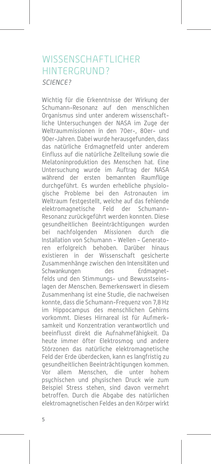### WISSENSCHAFTLICHER HINTERGRUND? SCIENCE?

Wichtig für die Erkenntnisse der Wirkung der Schumann-Resonanz auf den menschlichen Organismus sind unter anderem wissenschaftliche Untersuchungen der NASA im Zuge der Weltraummissionen in den 70er-, 80er- und 90er-Jahren. Dabei wurde herausgefunden, dass das natürliche Erdmagnetfeld unter anderem Einfluss auf die natürliche Zellteilung sowie die Melatoninproduktion des Menschen hat. Eine Untersuchung wurde im Auftrag der NASA während der ersten bemannten Raumflüge durchgeführt. Es wurden erhebliche physiologische Probleme bei den Astronauten im Weltraum festgestellt, welche auf das fehlende elektromagnetische Feld der Schumann-Resonanz zurückgeführt werden konnten. Diese gesundheitlichen Beeinträchtigungen wurden bei nachfolgenden Missionen durch die Installation von Schumann - Wellen - Generatoren erfolgreich behoben. Darüber hinaus existieren in der Wissenschaft gesicherte Zusammenhänge zwischen den Intensitäten und Schwankungen des Erdmagnetfelds und den Stimmungs- und Bewusstseinslagen der Menschen. Bemerkenswert in diesem Zusammenhang ist eine Studie, die nachweisen konnte, dass die Schumann-Frequenz von 7,8 Hz im Hippocampus des menschlichen Gehirns vorkommt. Dieses Hirnareal ist für Aufmerksamkeit und Konzentration verantwortlich und beeinflusst direkt die Aufnahmefähigkeit. Da heute immer öfter Elektrosmog und andere Störzonen das natürliche elektromagnetische Feld der Erde überdecken, kann es langfristig zu gesundheitlichen Beeinträchtigungen kommen. Vor allem Menschen, die unter hohem psychischen und physischen Druck wie zum Beispiel Stress stehen, sind davon vermehrt betroffen. Durch die Abgabe des natürlichen elektromagnetischen Feldes an den Körper wirkt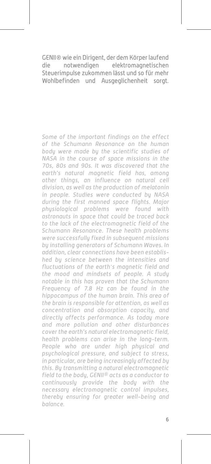GENII® wie ein Dirigent, der dem Körper laufend die notwendigen elektromagnetischen Steuerimpulse zukommen lässt und so für mehr Wohlbefinden und Ausgeglichenheit sorgt.

Some of the important findings on the effect of the Schumann Resonance on the human body were made by the scientific studies of NASA in the course of space missions in the 70s, 80s and 90s. It was discovered that the earth's natural magnetic field has, among other things, an influence on natural cell division, as well as the production of melatonin in people. Studies were conducted by NASA during the first manned space flights. Major physiological problems were found with astronauts in space that could be traced back to the lack of the electromagnetic field of the Schumann Resonance. These health problems were successfully fixed in subsequent missions by installing generators of Schumann Waves. In addition, clear connections have been established by science between the intensities and fluctuations of the earth's magnetic field and the mood and mindsets of people. A study notable in this has proven that the Schumann Frequency of 7.8 Hz can be found in the hippocampus of the human brain. This area of the brain is responsible for attention, as well as concentration and absorption capacity, and directly affects performance. As today more and more pollution and other disturbances cover the earth's natural electromagnetic field, health problems can arise in the long-term. People who are under high physical and psychological pressure, and subject to stress, in particular, are being increasingly affected by this. By transmitting a natural electromagnetic field to the body, GENII® acts as a conductor to continuously provide the body with the necessary electromagnetic control impulses, thereby ensuring for greater well-being and balance.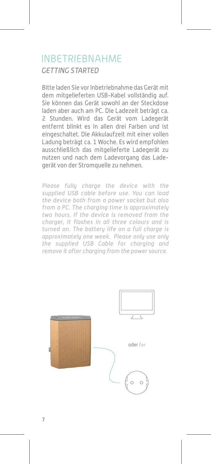## INBETRIEBNAHME GETTING STARTED

Bitte laden Sie vor Inbetriebnahme das Gerät mit dem mitgelieferten USB-Kabel vollständig auf. Sie können das Gerät sowohl an der Steckdose laden aber auch am PC. Die Ladezeit beträgt ca. 2 Stunden. Wird das Gerät vom Ladegerät entfernt blinkt es in allen drei Farben und ist eingeschaltet. Die Akkulaufzeit mit einer vollen Ladung beträgt ca. 1 Woche. Es wird empfohlen ausschließlich das mitgelieferte Ladegerät zu nutzen und nach dem Ladevorgang das Ladegerät von der Stromquelle zu nehmen.

Please fully charge the device with the supplied USB cable before use. You can load the device both from a power socket but also from a PC. The charging time is approximately two hours. If the device is removed from the charger, it flashes in all three colours and is turned on. The battery life on a full charge is approximately one week. Please only use only the supplied USB Cable for charging and remove it after charging from the power source.

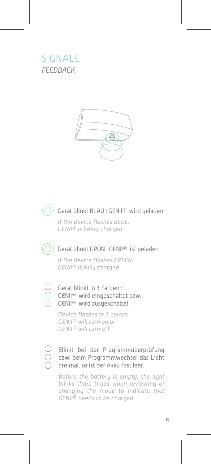## SIGNALE FEEDBACK





#### $\left(\bigcirc\right)$  Gerät blinkt BLAU : GENII® wird geladen

If the device flashes BLUE: GENII® is being charged



#### $\textcircled{C}$ ) Gerät blinkt GRÜN : GENII® ist geladen

If the device flashes GREEN: GENII® is fully charged

#### Gerät blinkt in 3 Farben :

- GENII® wird eingeschaltet bzw.
- GENII® wird ausgeschaltet

Device flashes in 3 colors: GENII® will turn on or GENII® will turn off



#### Blinkt bei der Programmüberprüfung bzw. beim Programmwechsel das Licht dreimal, so ist der Akku fast leer.

Before the battery is empty, the light blinks three times when reviewing or changing the mode to indicate that GENII® needs to be charged.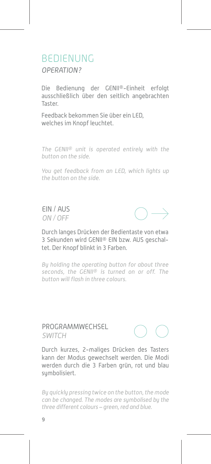### BEDIENUNG OPERATION?

Die Bedienung der GENII®-Einheit erfolgt ausschließlich über den seitlich angebrachten Taster.

Feedback bekommen Sie über ein LED, welches im Knopf leuchtet.

The GENII® unit is operated entirely with the button on the side.

You get feedback from an LED, which lights up the button on the side.

EIN / AUS ON / OFF



Durch langes Drücken der Bedientaste von etwa 3 Sekunden wird GENII® EIN bzw. AUS geschaltet. Der Knopf blinkt in 3 Farben.

By holding the operating button for about three seconds, the GENII® is turned on or off. The button will flash in three colours.

#### PROGRAMMWECHSEL SWITCH



Durch kurzes, 2-maliges Drücken des Tasters kann der Modus gewechselt werden. Die Modi werden durch die 3 Farben grün, rot und blau symbolisiert.

By quickly pressing twice on the button, the mode can be changed. The modes are symbolised by the three different colours – green, red and blue.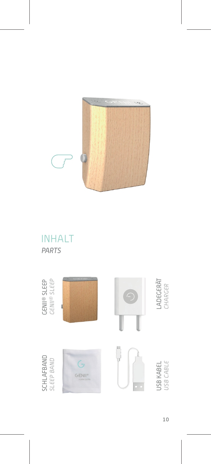

## INHALT PARTS

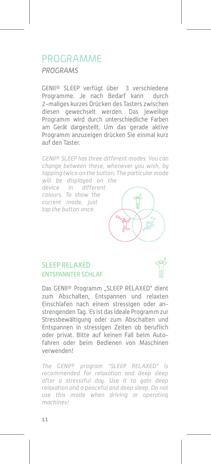## PROGRAMME PROGRAMS

GENII® SLEEP verfügt über 3 verschiedene Programme. Je nach Bedarf kann durch 2-maliges kurzes Drücken des Tasters zwischen diesen gewechselt werden. Das jeweilige Programm wird durch unterschiedliche Farben am Gerät dargestellt. Um das gerade aktive Programm anzuzeigen drücken Sie einmal kurz auf den Taster.

GENII® SLEEP has three different modes. You can change between these, whenever you wish, by tapping twice on the button. The particular mode will be displayed on the

device in different colours. To show the current mode, just tap the button once.



### SLEEP RELAXED ENTSPANNTER SCHLAF



Das GENII® Programm . SLEEP RELAXED" dient zum Abschalten, Entspannen und relaxten Einschlafen nach einem stressigen oder anstrengenden Tag. Es ist das ideale Programm zur Stressbewältigung oder zum Abschalten und Entspannen in stressigen Zeiten ob beruflich oder privat. Bitte auf keinen Fall beim Autofahren oder beim Bedienen von Maschinen verwenden!

The GENII® program "SLEEP RELAXED" is recommended for relaxation and deep sleep after a stresssful day. Use it to gain deep relaxation and a peaceful and deep sleep. Do not use this mode when driving or operating machines!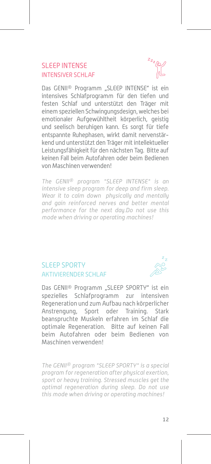#### SLEEP INTENSE INTENSIVER SCHLAF

Das GENII® Programm "SLEEP INTENSE" ist ein intensives Schlafprogramm für den tiefen und festen Schlaf und unterstützt den Träger mit einem speziellen Schwingungsdesign, welches bei emotionaler Aufgewühltheit körnerlich, geistig und seelisch beruhigen kann. Es sorgt für tiefe entspannte Ruhephasen, wirkt damit nervenstärkend und unterstützt den Träger mit intellektueller Leistungsfähigkeit für den nächsten Tag. Bitte auf keinen Fall beim Autofahren oder beim Bedienen von Maschinen verwenden!

The GENII® program "SLEEP INTENSE" is an intensive sleep program for deep and firm sleep. Wear it to calm down physically and mentally and gain reinforced nerves and better mental performance for the next day.Do not use this mode when driving or operating machines!

### SLEEP SPORTY AKTIVIERENDER SCHI AF



Das GENII® Programm "SLEEP SPORTY" ist ein spezielles Schlafprogramm zur intensiven Regeneration und zum Aufbau nach körperlicher Anstrengung, Sport oder Training. Stark beanspruchte Muskeln erfahren im Schlaf die optimale Regeneration. Bitte auf keinen Fall beim Autofahren oder beim Bedienen von Maschinen verwenden!

The GENII® program "SLEEP SPORTY" is a special program for regeneration after physical exertion, sport or heavy training. Stressed muscles get the optimal regeneration during sleep. Do not use this mode when driving or operating machines!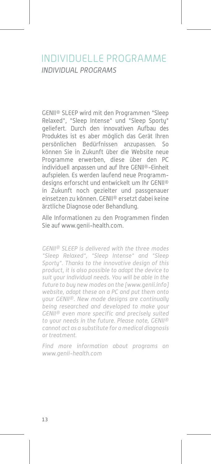## INDIVIDUELLE PROGRAMME INDIVIDUAL PROGRAMS

GENII® SLEEP wird mit den Programmen "Sleep Relaxed", "Sleep Intense" und "Sleep Sporty" geliefert. Durch den innovativen Aufbau des Produktes ist es aber möglich das Gerät Ihren persönlichen Bedürfnissen anzupassen. So können Sie in Zukunft über die Website neue Programme erwerben, diese über den PC individuell anpassen und auf Ihre GENII®-Einheit aufspielen. Es werden laufend neue Programmdesigns erforscht und entwickelt um Ihr GENII® in Zukunft noch gezielter und passgenauer einsetzen zu können. GENII® ersetzt dabei keine ärztliche Diagnose oder Behandlung.

Alle Informationen zu den Programmen finden Sie auf www.genii-health.com.

GENII® SLEEP is delivered with the three modes "Sleep Relaxed", "Sleep Intense" and "Sleep Sporty". Thanks to the innovative design of this product, it is also possible to adapt the device to suit your individual needs. You will be able in the future to buy new modes on the (www.genii.info) website, adapt these on a PC and put them onto your GENII®. New mode designs are continually being researched and developed to make your GENII® even more specific and precisely suited to your needs in the future. Please note, GENII® cannot act as a substitute for a medical diagnosis or treatment.

Find more information about programs on www.genii-health.com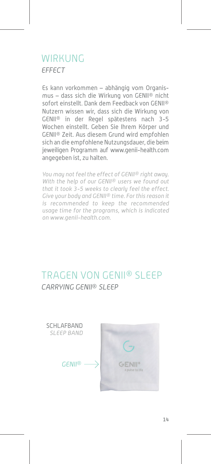## WIRKUNG EFFECT

Es kann vorkommen – abhängig vom Organismus – dass sich die Wirkung von GENII® nicht sofort einstellt. Dank dem Feedback von GENII® Nutzern wissen wir, dass sich die Wirkung von GENII® in der Regel spätestens nach 3-5 Wochen einstellt. Geben Sie Ihrem Körper und GENII® Zeit. Aus diesem Grund wird empfohlen sich an die empfohlene Nutzungsdauer, die beim jeweiligen Programm auf www.genii-health.com angegeben ist, zu halten.

You may not feel the effect of GENII® right away. With the help of our GENII<sup>®</sup> users we found out that it took 3-5 weeks to clearly feel the effect. Give your body and GENII® time. For this reason it is recommended to keep the recommended usage time for the programs, which is indicated on www.genii-health.com.

## TRAGEN VON GENII® SLEEP CARRYING GENII® SLEEP

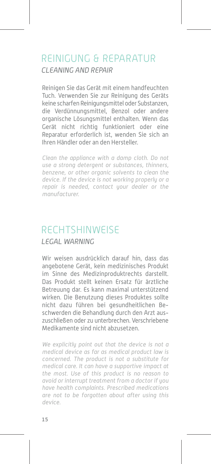## REINIGUNG & REPARATUR CLEANING AND REPAIR

Reinigen Sie das Gerät mit einem handfeuchten Tuch. Verwenden Sie zur Reinigung des Geräts keine scharfen Reinigungsmittel oder Substanzen, die Verdünnungsmittel, Benzol oder andere organische Lösungsmittel enthalten. Wenn das Gerät nicht richtig funktioniert oder eine Reparatur erforderlich ist, wenden Sie sich an Ihren Händler oder an den Hersteller.

Clean the appliance with a damp cloth. Do not use a strong detergent or substances, thinners, benzene, or other organic solvents to clean the device. If the device is not working properly or a repair is needed, contact your dealer or the manufacturer.

# **RECHTSHINWEISE**

#### LEGAL WARNING

Wir weisen ausdrücklich darauf hin, dass das angebotene Gerät, kein medizinisches Produkt im Sinne des Medizinproduktrechts darstellt. Das Produkt stellt keinen Ersatz für ärztliche Betreuung dar. Es kann maximal unterstützend wirken. Die Benutzung dieses Produktes sollte nicht dazu führen bei gesundheitlichen Beschwerden die Behandlung durch den Arzt auszuschließen oder zu unterbrechen. Verschriebene Medikamente sind nicht abzusetzen.

We explicitly point out that the device is not a medical device as far as medical product law is concerned. The product is not a substitute for medical care. It can have a supportive impact at the most. Use of this product is no reason to avoid or interrupt treatment from a doctor if you have health complaints. Prescribed medications are not to be forgotten about after using this device.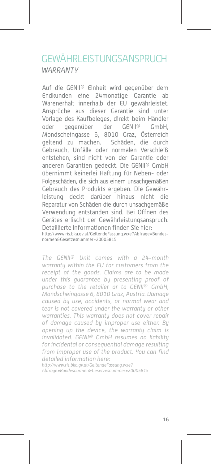## GEWÄHRLEISTUNGSANSPRUCH **WARRANTY**

Auf die GENII® Einheit wird gegenüber dem Endkunden eine 24monatige Garantie ab Warenerhalt innerhalb der EU gewährleistet. Ansprüche aus dieser Garantie sind unter Vorlage des Kaufbeleges, direkt beim Händler oder gegenüber der GENII® GmbH, Mondscheingasse 6, 8010 Graz, Österreich geltend zu machen. Schäden, die durch Gebrauch, Unfälle oder normalen Verschleiß entstehen, sind nicht von der Garantie oder anderen Garantien gedeckt. Die GENII® GmbH übernimmt keinerlei Haftung für Neben- oder Folgeschäden, die sich aus einem unsachgemäßen Gebrauch des Produkts ergeben. Die Gewährleistung deckt darüber hinaus nicht die Reparatur von Schäden die durch unsachgemäße Verwendung entstanden sind. Bei Öffnen des Gerätes erlischt der Gewährleistungsanspruch. Detaillierte Informationen finden Sie hier: http://www.ris.bka.gv.at/GeltendeFassung.wxe?Abfrage=Bundesnormen&Gesetzesnummer=20005815

The GENII® Unit comes with a 24-month warranty within the EU for customers from the receipt of the goods. Claims are to be made under this guarantee by presenting proof of purchase to the retailer or to GENII® GmbH, Mondscheingasse 6, 8010 Graz, Austria. Damage caused by use, accidents, or normal wear and tear is not covered under the warranty or other warranties. This warranty does not cover repair of damage caused by improper use either. By opening up the device, the warranty claim is invalidated. GENII® GmbH assumes no liability for incidental or consequential damage resulting from improper use of the product. You can find detailed information here:

http://www.ris.bka.gv.at/GeltendeFassung.wxe? Abfrage=Bundesnormen&Gesetzesnummer=20005815

16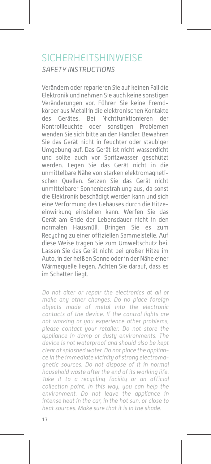## SICHERHEITSHINWEISE SAFETY INSTRUCTIONS

Verändern oder reparieren Sie auf keinen Fall die Elektronik und nehmen Sie auch keine sonstigen Veränderungen vor. Führen Sie keine Fremdkörper aus Metall in die elektronischen Kontakte des Gerätes. Bei Nichtfunktionieren der Kontrollleuchte oder sonstigen Problemen wenden Sie sich bitte an den Händler. Bewahren Sie das Gerät nicht in feuchter oder staubiger Umgebung auf. Das Gerät ist nicht wasserdicht und sollte auch vor Spritzwasser geschützt werden. Legen Sie das Gerät nicht in die unmittelbare Nähe von starken elektromagnetischen Quellen. Setzen Sie das Gerät nicht unmittelbarer Sonnenbestrahlung aus, da sonst die Elektronik beschädigt werden kann und sich eine Verformung des Gehäuses durch die Hitzeeinwirkung einstellen kann. Werfen Sie das Gerät am Ende der Lebensdauer nicht in den normalen Hausmüll. Bringen Sie es zum Recycling zu einer offiziellen Sammelstelle. Auf diese Weise tragen Sie zum Umweltschutz bei. Lassen Sie das Gerät nicht bei großer Hitze im Auto, in der heißen Sonne oder in der Nähe einer Wärmequelle liegen. Achten Sie darauf, dass es im Schatten liegt.

Do not alter or repair the electronics at all or make any other changes. Do no place foreign objects made of metal into the electronic contacts of the device. If the control lights are not working or you experience other problems, please contact your retailer. Do not store the appliance in damp or dusty environments. The device is not waterproof and should also be kept clear of splashed water. Do not place the appliance in the immediate vicinity of strong electromagnetic sources. Do not dispose of it in normal household waste after the end of its working life. Take it to a recycling facility or an official collection point. In this way, you can help the environment. Do not leave the appliance in intense heat in the car, in the hot sun, or close to heat sources. Make sure that it is in the shade.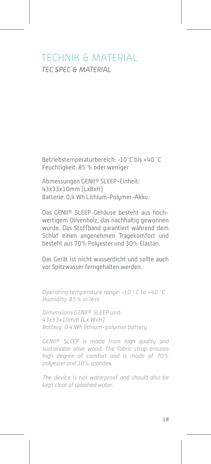## TECHNIK & MATERIAL TEC SPEC & MATERIAL

Betriebstemperaturbereich: -10°C bis +40 °C Feuchtigkeit: 85 % oder weniger

Abmessungen GENII® SLEEP-Einheit: 43x33x10mm (LxBxH) Batterie: 0,4 Wh Lithium-Polymer-Akku

Das GENII® SLEEP Gehäuse besteht aus hochwertigem Olivenholz, das nachhaltig gewonnen wurde. Das Stoffband garantiert während dem Schlaf einen angenehmen Tragekomfort und besteht aus 70% Polyester und 30% Elastan.

Das Gerät ist nicht wasserdicht und sollte auch vor Spitzwasser ferngehalten werden.

Operating temperature range: -10 ° C to +40 °C Humidity: 85% or less

Dimensions GENII® SLEEP unit: 43x33x10mm (Lx WxH) Battery: 0.4 Wh lithium-polymer battery

GENII® SLEEP is made from high quality and sustainable olive wood. The fabric strap ensures high degree of comfort and is made of 70% polyester and 30% spandex.

The device is not waterproof and should also be kept clear of splashed water.